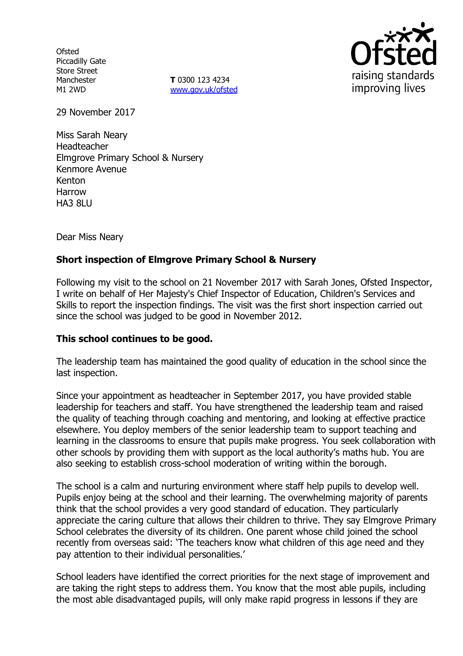**Ofsted** Piccadilly Gate Store Street Manchester M1 2WD

**T** 0300 123 4234 [www.gov.uk/ofsted](http://www.gov.uk/ofsted)



29 November 2017

Miss Sarah Neary Headteacher Elmgrove Primary School & Nursery Kenmore Avenue Kenton Harrow **HA3 8LU** 

Dear Miss Neary

## **Short inspection of Elmgrove Primary School & Nursery**

Following my visit to the school on 21 November 2017 with Sarah Jones, Ofsted Inspector, I write on behalf of Her Majesty's Chief Inspector of Education, Children's Services and Skills to report the inspection findings. The visit was the first short inspection carried out since the school was judged to be good in November 2012.

#### **This school continues to be good.**

The leadership team has maintained the good quality of education in the school since the last inspection.

Since your appointment as headteacher in September 2017, you have provided stable leadership for teachers and staff. You have strengthened the leadership team and raised the quality of teaching through coaching and mentoring, and looking at effective practice elsewhere. You deploy members of the senior leadership team to support teaching and learning in the classrooms to ensure that pupils make progress. You seek collaboration with other schools by providing them with support as the local authority's maths hub. You are also seeking to establish cross-school moderation of writing within the borough.

The school is a calm and nurturing environment where staff help pupils to develop well. Pupils enjoy being at the school and their learning. The overwhelming majority of parents think that the school provides a very good standard of education. They particularly appreciate the caring culture that allows their children to thrive. They say Elmgrove Primary School celebrates the diversity of its children. One parent whose child joined the school recently from overseas said: 'The teachers know what children of this age need and they pay attention to their individual personalities.'

School leaders have identified the correct priorities for the next stage of improvement and are taking the right steps to address them. You know that the most able pupils, including the most able disadvantaged pupils, will only make rapid progress in lessons if they are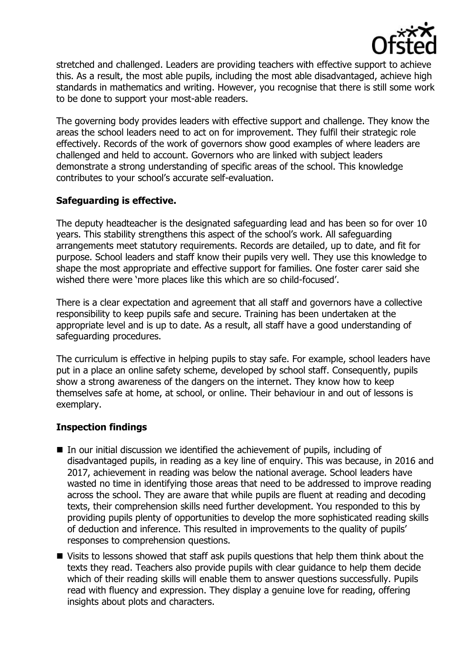

stretched and challenged. Leaders are providing teachers with effective support to achieve this. As a result, the most able pupils, including the most able disadvantaged, achieve high standards in mathematics and writing. However, you recognise that there is still some work to be done to support your most-able readers.

The governing body provides leaders with effective support and challenge. They know the areas the school leaders need to act on for improvement. They fulfil their strategic role effectively. Records of the work of governors show good examples of where leaders are challenged and held to account. Governors who are linked with subject leaders demonstrate a strong understanding of specific areas of the school. This knowledge contributes to your school's accurate self-evaluation.

# **Safeguarding is effective.**

The deputy headteacher is the designated safeguarding lead and has been so for over 10 years. This stability strengthens this aspect of the school's work. All safeguarding arrangements meet statutory requirements. Records are detailed, up to date, and fit for purpose. School leaders and staff know their pupils very well. They use this knowledge to shape the most appropriate and effective support for families. One foster carer said she wished there were 'more places like this which are so child-focused'.

There is a clear expectation and agreement that all staff and governors have a collective responsibility to keep pupils safe and secure. Training has been undertaken at the appropriate level and is up to date. As a result, all staff have a good understanding of safeguarding procedures.

The curriculum is effective in helping pupils to stay safe. For example, school leaders have put in a place an online safety scheme, developed by school staff. Consequently, pupils show a strong awareness of the dangers on the internet. They know how to keep themselves safe at home, at school, or online. Their behaviour in and out of lessons is exemplary.

#### **Inspection findings**

- $\blacksquare$  In our initial discussion we identified the achievement of pupils, including of disadvantaged pupils, in reading as a key line of enquiry. This was because, in 2016 and 2017, achievement in reading was below the national average. School leaders have wasted no time in identifying those areas that need to be addressed to improve reading across the school. They are aware that while pupils are fluent at reading and decoding texts, their comprehension skills need further development. You responded to this by providing pupils plenty of opportunities to develop the more sophisticated reading skills of deduction and inference. This resulted in improvements to the quality of pupils' responses to comprehension questions.
- Visits to lessons showed that staff ask pupils questions that help them think about the texts they read. Teachers also provide pupils with clear guidance to help them decide which of their reading skills will enable them to answer questions successfully. Pupils read with fluency and expression. They display a genuine love for reading, offering insights about plots and characters.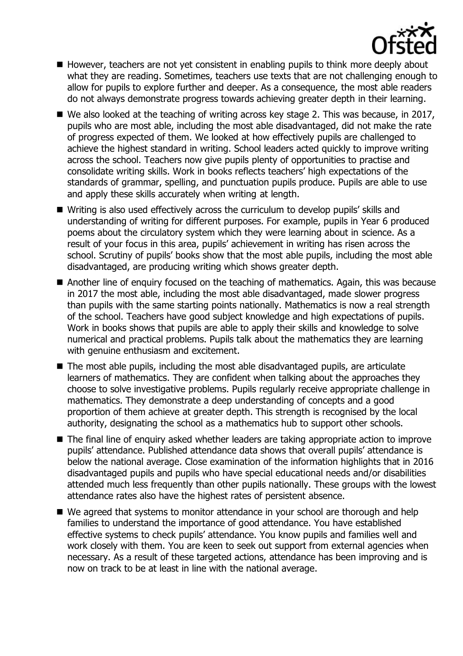

- However, teachers are not yet consistent in enabling pupils to think more deeply about what they are reading. Sometimes, teachers use texts that are not challenging enough to allow for pupils to explore further and deeper. As a consequence, the most able readers do not always demonstrate progress towards achieving greater depth in their learning.
- We also looked at the teaching of writing across key stage 2. This was because, in 2017, pupils who are most able, including the most able disadvantaged, did not make the rate of progress expected of them. We looked at how effectively pupils are challenged to achieve the highest standard in writing. School leaders acted quickly to improve writing across the school. Teachers now give pupils plenty of opportunities to practise and consolidate writing skills. Work in books reflects teachers' high expectations of the standards of grammar, spelling, and punctuation pupils produce. Pupils are able to use and apply these skills accurately when writing at length.
- Writing is also used effectively across the curriculum to develop pupils' skills and understanding of writing for different purposes. For example, pupils in Year 6 produced poems about the circulatory system which they were learning about in science. As a result of your focus in this area, pupils' achievement in writing has risen across the school. Scrutiny of pupils' books show that the most able pupils, including the most able disadvantaged, are producing writing which shows greater depth.
- Another line of enquiry focused on the teaching of mathematics. Again, this was because in 2017 the most able, including the most able disadvantaged, made slower progress than pupils with the same starting points nationally. Mathematics is now a real strength of the school. Teachers have good subject knowledge and high expectations of pupils. Work in books shows that pupils are able to apply their skills and knowledge to solve numerical and practical problems. Pupils talk about the mathematics they are learning with genuine enthusiasm and excitement.
- The most able pupils, including the most able disadvantaged pupils, are articulate learners of mathematics. They are confident when talking about the approaches they choose to solve investigative problems. Pupils regularly receive appropriate challenge in mathematics. They demonstrate a deep understanding of concepts and a good proportion of them achieve at greater depth. This strength is recognised by the local authority, designating the school as a mathematics hub to support other schools.
- The final line of enquiry asked whether leaders are taking appropriate action to improve pupils' attendance. Published attendance data shows that overall pupils' attendance is below the national average. Close examination of the information highlights that in 2016 disadvantaged pupils and pupils who have special educational needs and/or disabilities attended much less frequently than other pupils nationally. These groups with the lowest attendance rates also have the highest rates of persistent absence.
- We agreed that systems to monitor attendance in your school are thorough and help families to understand the importance of good attendance. You have established effective systems to check pupils' attendance. You know pupils and families well and work closely with them. You are keen to seek out support from external agencies when necessary. As a result of these targeted actions, attendance has been improving and is now on track to be at least in line with the national average.